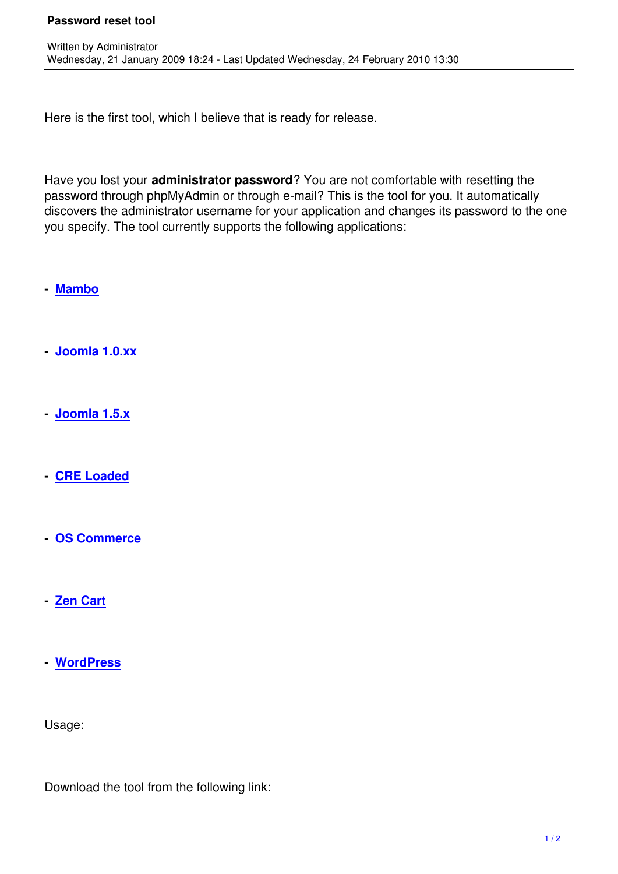Here is the first tool, which I believe that is ready for release.

Have you lost your **administrator password**? You are not comfortable with resetting the password through phpMyAdmin or through e-mail? This is the tool for you. It automatically discovers the administrator username for your application and changes its password to the one you specify. The tool currently supports the following applications:

- **Mambo**
- **[Joomla](http://www.mamboserver.com/) 1.0.xx**

Written by Administrator and Administrator and Administrator and Administrator and Administrator and Administrator and Administrator and Administrator and Administrator and Administrator and Administrator and Administrator

- **[Joomla 1.5.x](http://www.joomla.org/)**
- **[CRE Loaded](http://www.joomla.org/)**
- **[OS Commerc](http://www.creloaded.com/)e**
- **[Zen Cart](http://www.oscommerce.com/)**
- **[WordPre](http://zencart.com/)ss**

U[sage:](http://wordpress.com/)

Download the tool from the following link: